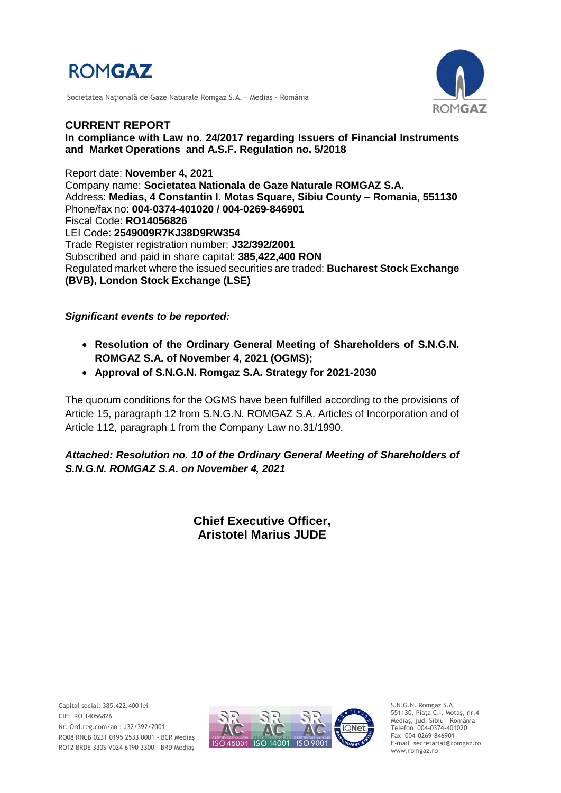

Societatea Naţională de Gaze Naturale Romgaz S.A. – Mediaş - România



**CURRENT REPORT In compliance with Law no. 24/2017 regarding Issuers of Financial Instruments and Market Operations and A.S.F. Regulation no. 5/2018**

Report date: **November 4, 2021** Company name: **Societatea Nationala de Gaze Naturale ROMGAZ S.A.** Address: **Medias, 4 Constantin I. Motas Square, Sibiu County – Romania, 551130** Phone/fax no: **004-0374-401020 / 004-0269-846901** Fiscal Code: **RO14056826** LEI Code: **2549009R7KJ38D9RW354** Trade Register registration number: **J32/392/2001** Subscribed and paid in share capital: **385,422,400 RON** Regulated market where the issued securities are traded: **Bucharest Stock Exchange (BVB), London Stock Exchange (LSE)**

# *Significant events to be reported:*

- **Resolution of the Ordinary General Meeting of Shareholders of S.N.G.N. ROMGAZ S.A. of November 4, 2021 (OGMS);**
- **Approval of S.N.G.N. Romgaz S.A. Strategy for 2021-2030**

The quorum conditions for the OGMS have been fulfilled according to the provisions of Article 15, paragraph 12 from S.N.G.N. ROMGAZ S.A. Articles of Incorporation and of Article 112, paragraph 1 from the Company Law no.31/1990.

*Attached: Resolution no. 10 of the Ordinary General Meeting of Shareholders of S.N.G.N. ROMGAZ S.A. on November 4, 2021*

> **Chief Executive Officer, Aristotel Marius JUDE**



S.N.G.N. Romgaz S.A. 551130, Piața C.I. Motaş, nr.4 Mediaş, jud. Sibiu - România Telefon 004-0374-401020 Fax 004-0269-846901 E-mail secretariat@romgaz.ro www.romgaz.ro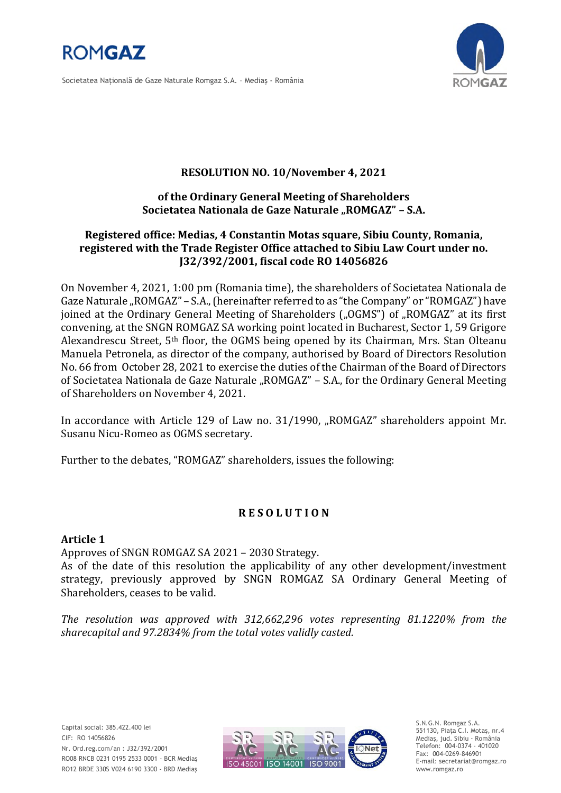

Societatea Naţională de Gaze Naturale Romgaz S.A. – Mediaş - România



### **RESOLUTION NO. 10/November 4, 2021**

#### **of the Ordinary General Meeting of Shareholders Societatea Nationala de Gaze Naturale "ROMGAZ" – S.A.**

# **Registered office: Medias, 4 Constantin Motas square, Sibiu County, Romania, registered with the Trade Register Office attached to Sibiu Law Court under no. J32/392/2001, fiscal code RO 14056826**

On November 4, 2021, 1:00 pm (Romania time), the shareholders of Societatea Nationala de Gaze Naturale "ROMGAZ" - S.A., (hereinafter referred to as "the Company" or "ROMGAZ") have joined at the Ordinary General Meeting of Shareholders ("OGMS") of "ROMGAZ" at its first convening, at the SNGN ROMGAZ SA working point located in Bucharest, Sector 1, 59 Grigore Alexandrescu Street, 5th floor, the OGMS being opened by its Chairman, Mrs. Stan Olteanu Manuela Petronela, as director of the company, authorised by Board of Directors Resolution No. 66 from October 28, 2021 to exercise the duties of the Chairman of the Board of Directors of Societatea Nationala de Gaze Naturale "ROMGAZ" - S.A., for the Ordinary General Meeting of Shareholders on November 4, 2021.

In accordance with Article 129 of Law no. 31/1990, "ROMGAZ" shareholders appoint Mr. Susanu Nicu-Romeo as OGMS secretary.

Further to the debates, "ROMGAZ" shareholders, issues the following:

# **R E S O L U T I O N**

#### **Article 1**

Approves of SNGN ROMGAZ SA 2021 – 2030 Strategy.

As of the date of this resolution the applicability of any other development/investment strategy, previously approved by SNGN ROMGAZ SA Ordinary General Meeting of Shareholders, ceases to be valid.

*The resolution was approved with 312,662,296 votes representing 81.1220% from the sharecapital and 97.2834% from the total votes validly casted.*



S.N.G.N. Romgaz S.A. 551130, Piața C.I. Motaş, nr.4 Mediaş, jud. Sibiu - România Telefon: 004-0374 - 401020 Fax: 004-0269-846901 E-mail: secretariat@romgaz.ro www.romgaz.ro